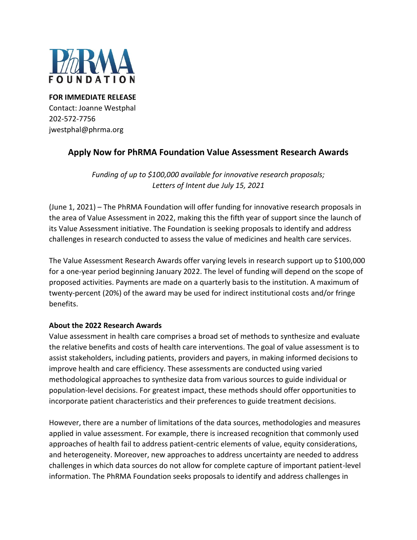

**FOR IMMEDIATE RELEASE** Contact: Joanne Westphal 202-572-7756 jwestphal@phrma.org

# **Apply Now for PhRMA Foundation Value Assessment Research Awards**

*Funding of up to \$100,000 available for innovative research proposals; Letters of Intent due July 15, 2021*

(June 1, 2021) – The PhRMA Foundation will offer funding for innovative research proposals in the area of Value Assessment in 2022, making this the fifth year of support since the launch of its Value Assessment initiative. The Foundation is seeking proposals to identify and address challenges in research conducted to assess the value of medicines and health care services.

The Value Assessment Research Awards offer varying levels in research support up to \$100,000 for a one-year period beginning January 2022. The level of funding will depend on the scope of proposed activities. Payments are made on a quarterly basis to the institution. A maximum of twenty-percent (20%) of the award may be used for indirect institutional costs and/or fringe benefits.

### **About the 2022 Research Awards**

Value assessment in health care comprises a broad set of methods to synthesize and evaluate the relative benefits and costs of health care interventions. The goal of value assessment is to assist stakeholders, including patients, providers and payers, in making informed decisions to improve health and care efficiency. These assessments are conducted using varied methodological approaches to synthesize data from various sources to guide individual or population-level decisions. For greatest impact, these methods should offer opportunities to incorporate patient characteristics and their preferences to guide treatment decisions.

However, there are a number of limitations of the data sources, methodologies and measures applied in value assessment. For example, there is increased recognition that commonly used approaches of health fail to address patient-centric elements of value, equity considerations, and heterogeneity. Moreover, new approaches to address uncertainty are needed to address challenges in which data sources do not allow for complete capture of important patient-level information. The PhRMA Foundation seeks proposals to identify and address challenges in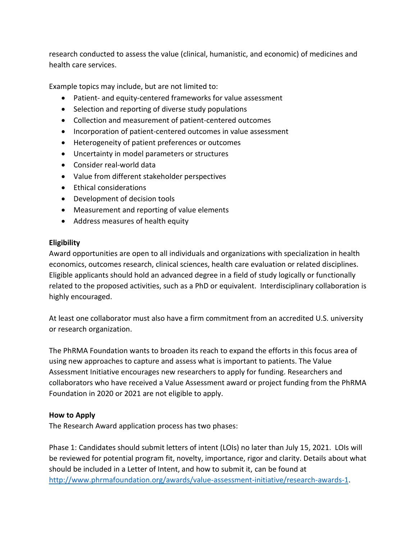research conducted to assess the value (clinical, humanistic, and economic) of medicines and health care services.

Example topics may include, but are not limited to:

- Patient- and equity-centered frameworks for value assessment
- Selection and reporting of diverse study populations
- Collection and measurement of patient-centered outcomes
- Incorporation of patient-centered outcomes in value assessment
- Heterogeneity of patient preferences or outcomes
- Uncertainty in model parameters or structures
- Consider real-world data
- Value from different stakeholder perspectives
- Ethical considerations
- Development of decision tools
- Measurement and reporting of value elements
- Address measures of health equity

## **Eligibility**

Award opportunities are open to all individuals and organizations with specialization in health economics, outcomes research, clinical sciences, health care evaluation or related disciplines. Eligible applicants should hold an advanced degree in a field of study logically or functionally related to the proposed activities, such as a PhD or equivalent. Interdisciplinary collaboration is highly encouraged.

At least one collaborator must also have a firm commitment from an accredited U.S. university or research organization.

The PhRMA Foundation wants to broaden its reach to expand the efforts in this focus area of using new approaches to capture and assess what is important to patients. The Value Assessment Initiative encourages new researchers to apply for funding. Researchers and collaborators who have received a Value Assessment award or project funding from the PhRMA Foundation in 2020 or 2021 are not eligible to apply.

# **How to Apply**

The Research Award application process has two phases:

Phase 1: Candidates should submit letters of intent (LOIs) no later than July 15, 2021. LOIs will be reviewed for potential program fit, novelty, importance, rigor and clarity. Details about what should be included in a Letter of Intent, and how to submit it, can be found at [http://www.phrmafoundation.org/awards/value-assessment-initiative/research-awards-1.](http://www.phrmafoundation.org/awards/value-assessment-initiative/research-awards-1)